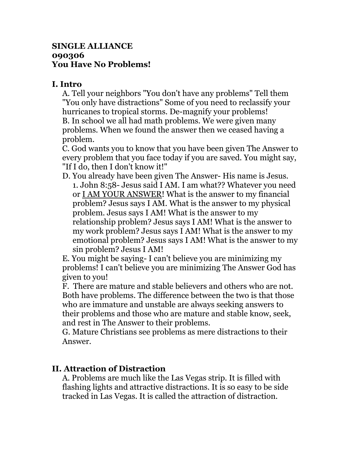## **SINGLE ALLIANCE 090306 You Have No Problems!**

## **I. Intro**

A. Tell your neighbors "You don't have any problems" Tell them "You only have distractions" Some of you need to reclassify your hurricanes to tropical storms. De-magnify your problems! B. In school we all had math problems. We were given many problems. When we found the answer then we ceased having a problem.

C. God wants you to know that you have been given The Answer to every problem that you face today if you are saved. You might say, "If I do, then I don't know it!"

D. You already have been given The Answer- His name is Jesus. 1. John 8:58- Jesus said I AM. I am what?? Whatever you need or I AM YOUR ANSWER! What is the answer to my financial problem? Jesus says I AM. What is the answer to my physical problem. Jesus says I AM! What is the answer to my relationship problem? Jesus says I AM! What is the answer to my work problem? Jesus says I AM! What is the answer to my emotional problem? Jesus says I AM! What is the answer to my sin problem? Jesus I AM!

E. You might be saying- I can't believe you are minimizing my problems! I can't believe you are minimizing The Answer God has given to you!

F. There are mature and stable believers and others who are not. Both have problems. The difference between the two is that those who are immature and unstable are always seeking answers to their problems and those who are mature and stable know, seek, and rest in The Answer to their problems.

G. Mature Christians see problems as mere distractions to their Answer.

## **II. Attraction of Distraction**

A. Problems are much like the Las Vegas strip. It is filled with flashing lights and attractive distractions. It is so easy to be side tracked in Las Vegas. It is called the attraction of distraction.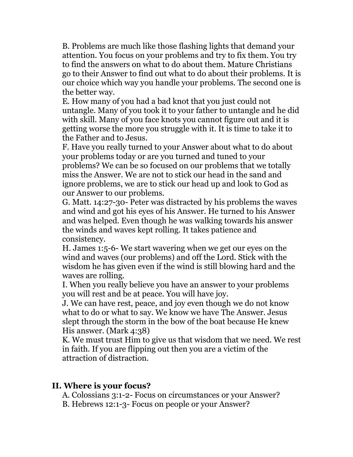B. Problems are much like those flashing lights that demand your attention. You focus on your problems and try to fix them. You try to find the answers on what to do about them. Mature Christians go to their Answer to find out what to do about their problems. It is our choice which way you handle your problems. The second one is the better way.

E. How many of you had a bad knot that you just could not untangle. Many of you took it to your father to untangle and he did with skill. Many of you face knots you cannot figure out and it is getting worse the more you struggle with it. It is time to take it to the Father and to Jesus.

F. Have you really turned to your Answer about what to do about your problems today or are you turned and tuned to your problems? We can be so focused on our problems that we totally miss the Answer. We are not to stick our head in the sand and ignore problems, we are to stick our head up and look to God as our Answer to our problems.

G. Matt. 14:27-30- Peter was distracted by his problems the waves and wind and got his eyes of his Answer. He turned to his Answer and was helped. Even though he was walking towards his answer the winds and waves kept rolling. It takes patience and consistency.

H. James 1:5-6- We start wavering when we get our eyes on the wind and waves (our problems) and off the Lord. Stick with the wisdom he has given even if the wind is still blowing hard and the waves are rolling.

I. When you really believe you have an answer to your problems you will rest and be at peace. You will have joy.

J. We can have rest, peace, and joy even though we do not know what to do or what to say. We know we have The Answer. Jesus slept through the storm in the bow of the boat because He knew His answer. (Mark 4:38)

K. We must trust Him to give us that wisdom that we need. We rest in faith. If you are flipping out then you are a victim of the attraction of distraction.

## **II. Where is your focus?**

A. Colossians 3:1-2- Focus on circumstances or your Answer?

B. Hebrews 12:1-3- Focus on people or your Answer?